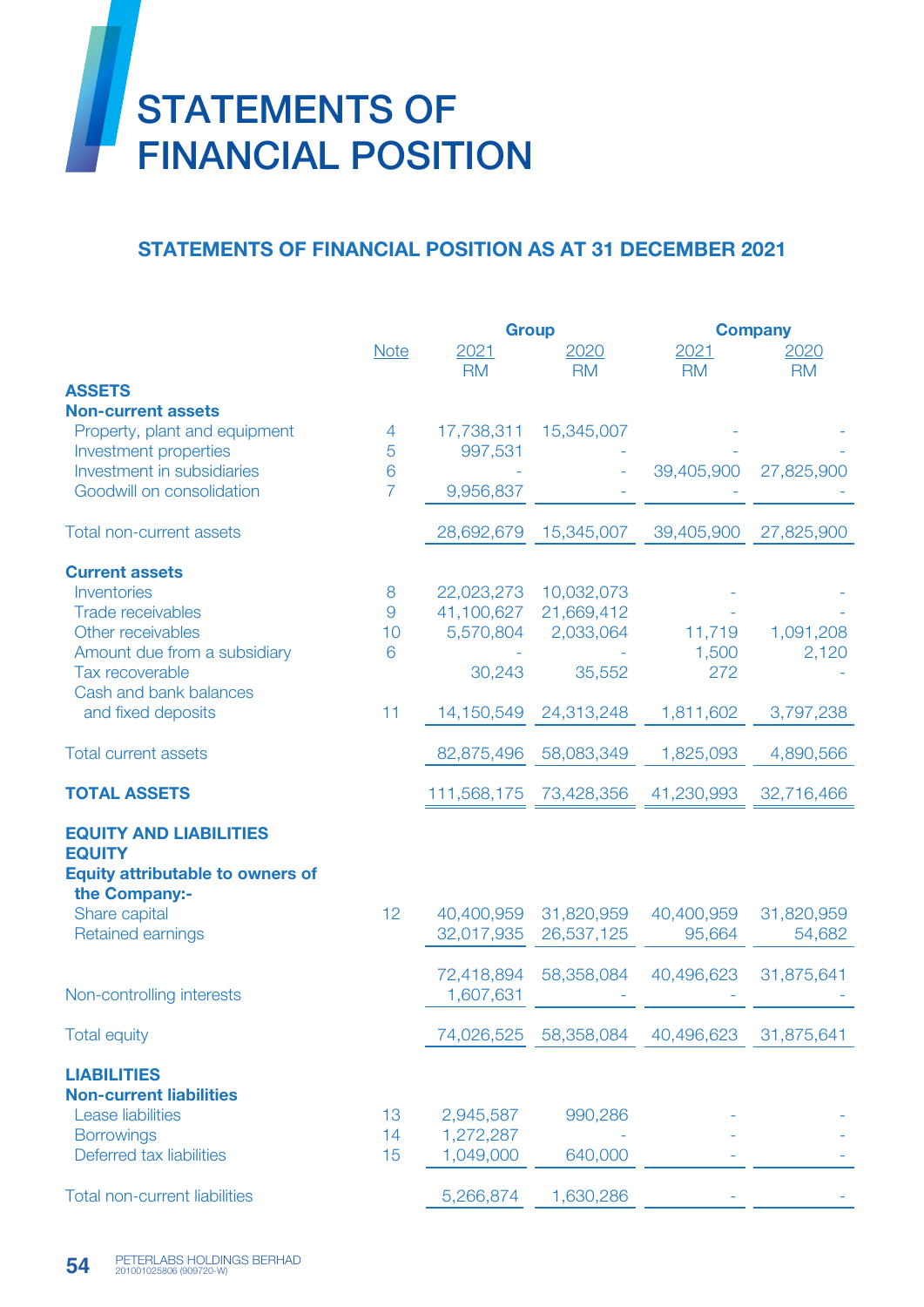

## STATEMENTS OF FINANCIAL POSITION AS AT 31 DECEMBER 2021

|                                              |                | <b>Group</b>      |                   | <b>Company</b>    |                   |
|----------------------------------------------|----------------|-------------------|-------------------|-------------------|-------------------|
|                                              | <b>Note</b>    | 2021<br><b>RM</b> | 2020<br><b>RM</b> | 2021<br><b>RM</b> | 2020<br><b>RM</b> |
| <b>ASSETS</b>                                |                |                   |                   |                   |                   |
| <b>Non-current assets</b>                    |                |                   |                   |                   |                   |
| Property, plant and equipment                | 4              | 17,738,311        | 15,345,007        |                   |                   |
| Investment properties                        | 5              | 997,531           |                   |                   |                   |
| Investment in subsidiaries                   | 6              |                   |                   | 39,405,900        | 27,825,900        |
| Goodwill on consolidation                    | $\overline{7}$ | 9,956,837         |                   |                   |                   |
| <b>Total non-current assets</b>              |                | 28,692,679        | 15,345,007        | 39,405,900        | 27,825,900        |
| <b>Current assets</b>                        |                |                   |                   |                   |                   |
| Inventories                                  | 8              | 22,023,273        | 10,032,073        |                   |                   |
| <b>Trade receivables</b>                     | 9              | 41,100,627        | 21,669,412        |                   |                   |
| Other receivables                            | 10             | 5,570,804         | 2,033,064         | 11,719            | 1,091,208         |
| Amount due from a subsidiary                 | 6              |                   |                   | 1,500             | 2,120             |
| Tax recoverable                              |                | 30,243            | 35,552            | 272               |                   |
| Cash and bank balances<br>and fixed deposits | 11             | 14,150,549        | 24,313,248        | 1,811,602         | 3,797,238         |
|                                              |                |                   |                   |                   |                   |
| <b>Total current assets</b>                  |                | 82,875,496        | 58,083,349        | 1,825,093         | 4,890,566         |
| <b>TOTAL ASSETS</b>                          |                | 111,568,175       | 73,428,356        | 41,230,993        | 32,716,466        |
| <b>EQUITY AND LIABILITIES</b>                |                |                   |                   |                   |                   |
| <b>EQUITY</b>                                |                |                   |                   |                   |                   |
| <b>Equity attributable to owners of</b>      |                |                   |                   |                   |                   |
| the Company:-<br>Share capital               | 12             | 40,400,959        | 31,820,959        | 40,400,959        | 31,820,959        |
| Retained earnings                            |                | 32,017,935        | 26,537,125        | 95,664            | 54,682            |
|                                              |                |                   |                   |                   |                   |
|                                              |                | 72,418,894        | 58,358,084        | 40,496,623        | 31,875,641        |
| Non-controlling interests                    |                | 1,607,631         |                   |                   |                   |
| <b>Total equity</b>                          |                | 74,026,525        | 58,358,084        | 40,496,623        | 31,875,641        |
| <b>LIABILITIES</b>                           |                |                   |                   |                   |                   |
| <b>Non-current liabilities</b>               |                |                   |                   |                   |                   |
| <b>Lease liabilities</b>                     | 13             | 2,945,587         | 990,286           |                   |                   |
| <b>Borrowings</b>                            | 14             | 1,272,287         |                   |                   |                   |
| Deferred tax liabilities                     | 15             | 1,049,000         | 640,000           |                   |                   |
| <b>Total non-current liabilities</b>         |                | 5,266,874         | 1,630,286         |                   |                   |
|                                              |                |                   |                   |                   |                   |